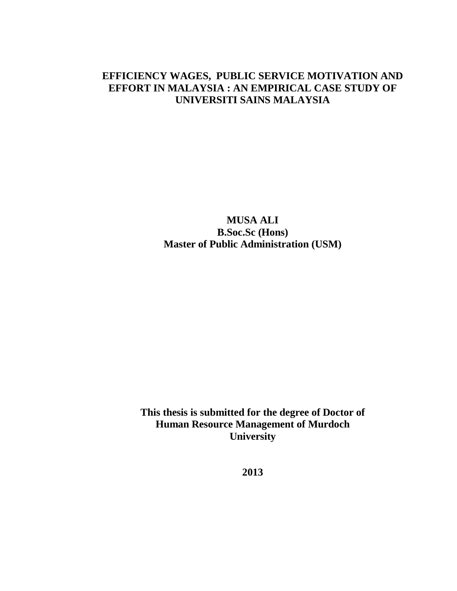# **EFFICIENCY WAGES, PUBLIC SERVICE MOTIVATION AND EFFORT IN MALAYSIA : AN EMPIRICAL CASE STUDY OF UNIVERSITI SAINS MALAYSIA**

**MUSA ALI B.Soc.Sc (Hons) Master of Public Administration (USM)**

**This thesis is submitted for the degree of Doctor of Human Resource Management of Murdoch University**

**2013**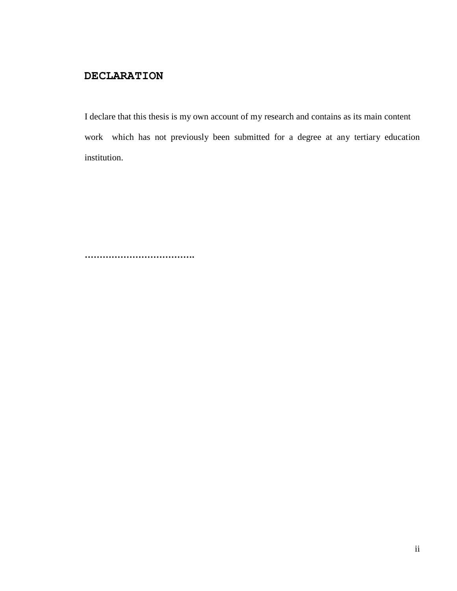### **DECLARATION**

I declare that this thesis is my own account of my research and contains as its main content work which has not previously been submitted for a degree at any tertiary education institution.

**……………………………….**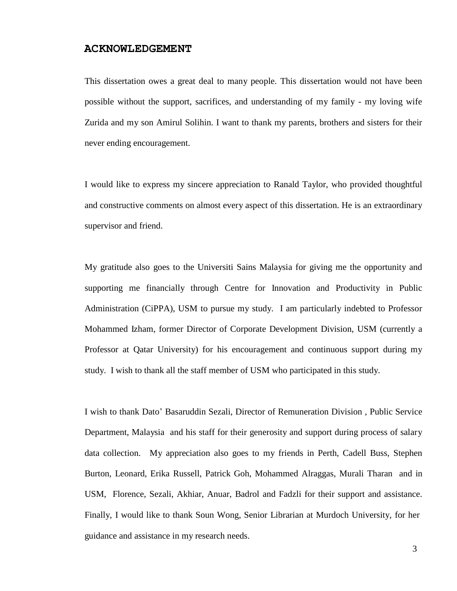#### **ACKNOWLEDGEMENT**

This dissertation owes a great deal to many people. This dissertation would not have been possible without the support, sacrifices, and understanding of my family - my loving wife Zurida and my son Amirul Solihin. I want to thank my parents, brothers and sisters for their never ending encouragement.

I would like to express my sincere appreciation to Ranald Taylor, who provided thoughtful and constructive comments on almost every aspect of this dissertation. He is an extraordinary supervisor and friend.

My gratitude also goes to the Universiti Sains Malaysia for giving me the opportunity and supporting me financially through Centre for Innovation and Productivity in Public Administration (CiPPA), USM to pursue my study. I am particularly indebted to Professor Mohammed Izham, former Director of Corporate Development Division, USM (currently a Professor at Qatar University) for his encouragement and continuous support during my study. I wish to thank all the staff member of USM who participated in this study.

I wish to thank Dato' Basaruddin Sezali, Director of Remuneration Division , Public Service Department, Malaysia and his staff for their generosity and support during process of salary data collection. My appreciation also goes to my friends in Perth, Cadell Buss, Stephen Burton, Leonard, Erika Russell, Patrick Goh, Mohammed Alraggas, Murali Tharan and in USM, Florence, Sezali, Akhiar, Anuar, Badrol and Fadzli for their support and assistance. Finally, I would like to thank Soun Wong, Senior Librarian at Murdoch University, for her guidance and assistance in my research needs.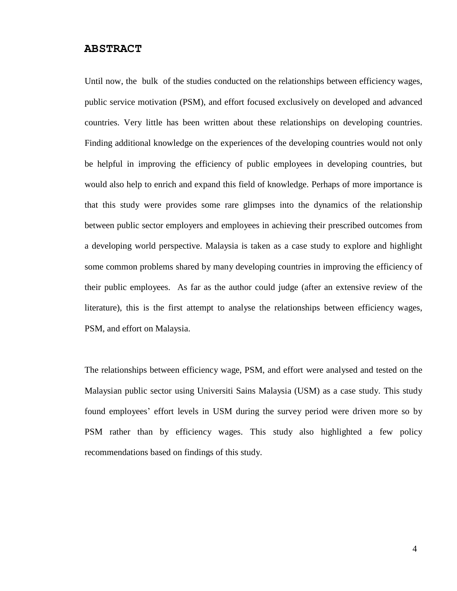#### **ABSTRACT**

Until now, the bulk of the studies conducted on the relationships between efficiency wages, public service motivation (PSM), and effort focused exclusively on developed and advanced countries. Very little has been written about these relationships on developing countries. Finding additional knowledge on the experiences of the developing countries would not only be helpful in improving the efficiency of public employees in developing countries, but would also help to enrich and expand this field of knowledge. Perhaps of more importance is that this study were provides some rare glimpses into the dynamics of the relationship between public sector employers and employees in achieving their prescribed outcomes from a developing world perspective. Malaysia is taken as a case study to explore and highlight some common problems shared by many developing countries in improving the efficiency of their public employees. As far as the author could judge (after an extensive review of the literature), this is the first attempt to analyse the relationships between efficiency wages, PSM, and effort on Malaysia.

The relationships between efficiency wage, PSM, and effort were analysed and tested on the Malaysian public sector using Universiti Sains Malaysia (USM) as a case study. This study found employees' effort levels in USM during the survey period were driven more so by PSM rather than by efficiency wages. This study also highlighted a few policy recommendations based on findings of this study.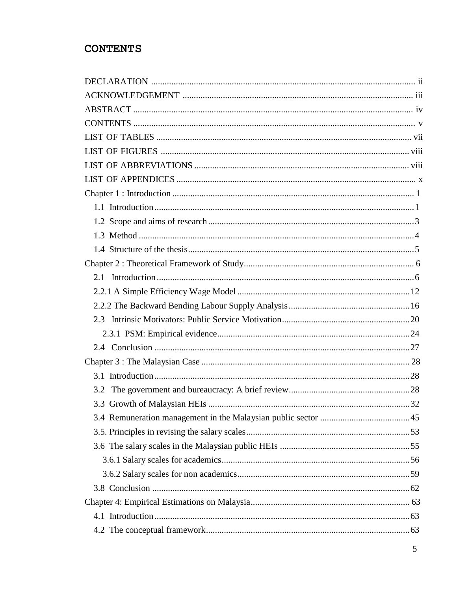# **CONTENTS**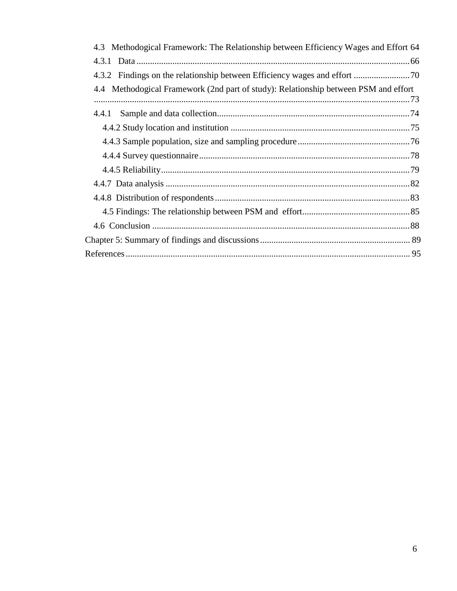| 4.3 Methodogical Framework: The Relationship between Efficiency Wages and Effort 64 |
|-------------------------------------------------------------------------------------|
|                                                                                     |
|                                                                                     |
| 4.4 Methodogical Framework (2nd part of study): Relationship between PSM and effort |
|                                                                                     |
|                                                                                     |
|                                                                                     |
|                                                                                     |
|                                                                                     |
|                                                                                     |
|                                                                                     |
|                                                                                     |
|                                                                                     |
|                                                                                     |
|                                                                                     |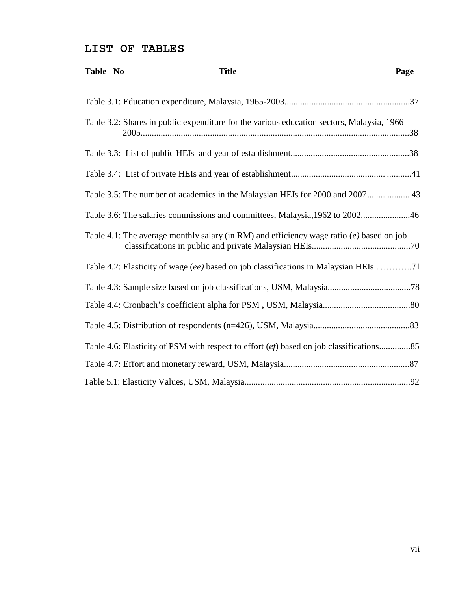### **LIST OF TABLES**

| Table No | <b>Title</b> |                                                                                            | Page |
|----------|--------------|--------------------------------------------------------------------------------------------|------|
|          |              |                                                                                            |      |
|          |              | Table 3.2: Shares in public expenditure for the various education sectors, Malaysia, 1966  |      |
|          |              |                                                                                            |      |
|          |              |                                                                                            |      |
|          |              | Table 3.5: The number of academics in the Malaysian HEIs for 2000 and 2007 43              |      |
|          |              | Table 3.6: The salaries commissions and committees, Malaysia, 1962 to 200246               |      |
|          |              | Table 4.1: The average monthly salary (in RM) and efficiency wage ratio $(e)$ based on job |      |
|          |              | Table 4.2: Elasticity of wage (ee) based on job classifications in Malaysian HEIs71        |      |
|          |              |                                                                                            |      |
|          |              |                                                                                            |      |
|          |              |                                                                                            |      |
|          |              | Table 4.6: Elasticity of PSM with respect to effort (ef) based on job classifications85    |      |
|          |              |                                                                                            |      |
|          |              |                                                                                            |      |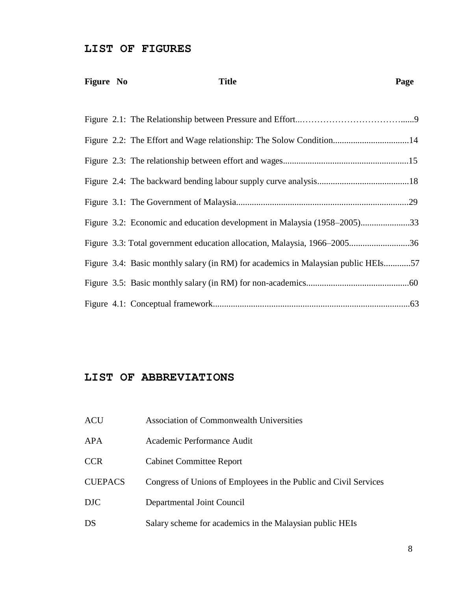#### **LIST OF FIGURES**

| Figure No | <b>Title</b>                                                                      | Page |
|-----------|-----------------------------------------------------------------------------------|------|
|           |                                                                                   |      |
|           |                                                                                   |      |
|           |                                                                                   |      |
|           |                                                                                   |      |
|           |                                                                                   |      |
|           | Figure 3.2: Economic and education development in Malaysia (1958–2005)33          |      |
|           | Figure 3.3: Total government education allocation, Malaysia, 1966–200536          |      |
|           | Figure 3.4: Basic monthly salary (in RM) for academics in Malaysian public HEIs57 |      |
|           |                                                                                   |      |
|           |                                                                                   |      |

#### **LIST OF ABBREVIATIONS**

| <b>Association of Commonwealth Universities</b> |
|-------------------------------------------------|
|                                                 |

- APA Academic Performance Audit
- CCR Cabinet Committee Report
- CUEPACS Congress of Unions of Employees in the Public and Civil Services
- DJC Departmental Joint Council
- DS Salary scheme for academics in the Malaysian public HEIs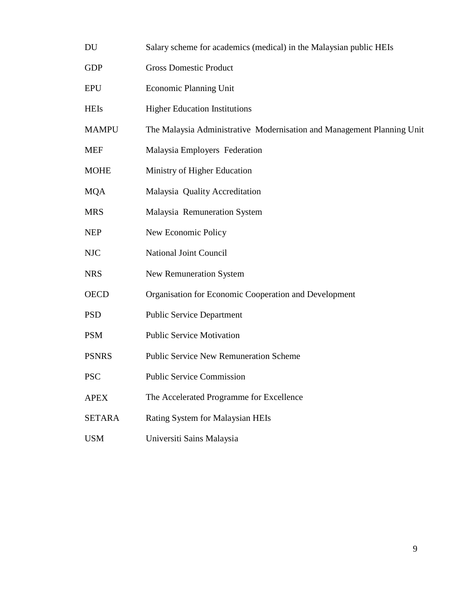- DU Salary scheme for academics (medical) in the Malaysian public HEIs
- GDP Gross Domestic Product
- EPU Economic Planning Unit
- HEIs Higher Education Institutions
- MAMPU The Malaysia Administrative Modernisation and Management Planning Unit
- MEF Malaysia Employers Federation
- MOHE Ministry of Higher Education
- MQA Malaysia Quality Accreditation
- MRS Malaysia Remuneration System
- NEP New Economic Policy
- NJC National Joint Council
- NRS New Remuneration System
- OECD Organisation for Economic Cooperation and Development
- PSD Public Service Department
- PSM Public Service Motivation
- PSNRS Public Service New Remuneration Scheme
- PSC Public Service Commission
- APEX The Accelerated Programme for Excellence
- SETARA Rating System for Malaysian HEIs
- USM Universiti Sains Malaysia